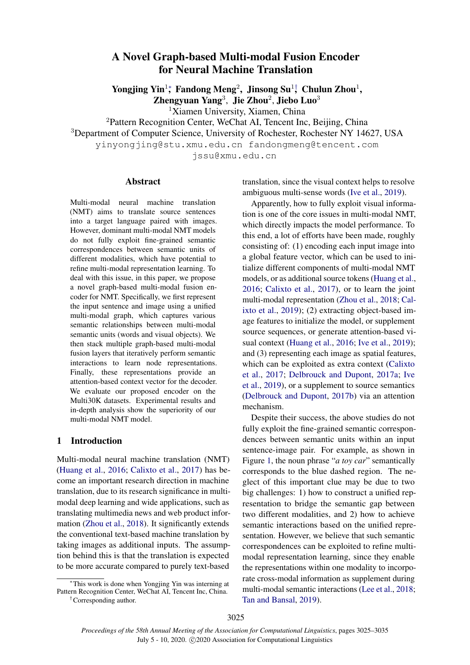# A Novel Graph-based Multi-modal Fusion Encoder for Neural Machine Translation

Yongjing Yin<sup>1</sup>\*, Fandong Meng<sup>2</sup>, Jinsong Su<sup>1†</sup>, Chulun Zhou<sup>1</sup>,

Zhengyuan Yang<sup>3</sup>, Jie Zhou<sup>2</sup>, Jiebo Luo<sup>3</sup>

<sup>1</sup>Xiamen University, Xiamen, China

<sup>2</sup>Pattern Recognition Center, WeChat AI, Tencent Inc, Beijing, China

<sup>3</sup>Department of Computer Science, University of Rochester, Rochester NY 14627, USA

yinyongjing@stu.xmu.edu.cn fandongmeng@tencent.com

jssu@xmu.edu.cn

### Abstract

Multi-modal neural machine translation (NMT) aims to translate source sentences into a target language paired with images. However, dominant multi-modal NMT models do not fully exploit fine-grained semantic correspondences between semantic units of different modalities, which have potential to refine multi-modal representation learning. To deal with this issue, in this paper, we propose a novel graph-based multi-modal fusion encoder for NMT. Specifically, we first represent the input sentence and image using a unified multi-modal graph, which captures various semantic relationships between multi-modal semantic units (words and visual objects). We then stack multiple graph-based multi-modal fusion layers that iteratively perform semantic interactions to learn node representations. Finally, these representations provide an attention-based context vector for the decoder. We evaluate our proposed encoder on the Multi30K datasets. Experimental results and in-depth analysis show the superiority of our multi-modal NMT model.

### 1 Introduction

Multi-modal neural machine translation (NMT) [\(Huang et al.,](#page-9-0) [2016;](#page-9-0) [Calixto et al.,](#page-8-0) [2017\)](#page-8-0) has become an important research direction in machine translation, due to its research significance in multimodal deep learning and wide applications, such as translating multimedia news and web product information [\(Zhou et al.,](#page-10-0) [2018\)](#page-10-0). It significantly extends the conventional text-based machine translation by taking images as additional inputs. The assumption behind this is that the translation is expected to be more accurate compared to purely text-based

†Corresponding author.

translation, since the visual context helps to resolve ambiguous multi-sense words [\(Ive et al.,](#page-9-1) [2019\)](#page-9-1).

Apparently, how to fully exploit visual information is one of the core issues in multi-modal NMT, which directly impacts the model performance. To this end, a lot of efforts have been made, roughly consisting of: (1) encoding each input image into a global feature vector, which can be used to initialize different components of multi-modal NMT models, or as additional source tokens [\(Huang et al.,](#page-9-0) [2016;](#page-9-0) [Calixto et al.,](#page-8-0) [2017\)](#page-8-0), or to learn the joint multi-modal representation [\(Zhou et al.,](#page-10-0) [2018;](#page-10-0) [Cal](#page-8-1)[ixto et al.,](#page-8-1) [2019\)](#page-8-1); (2) extracting object-based image features to initialize the model, or supplement source sequences, or generate attention-based visual context [\(Huang et al.,](#page-9-0) [2016;](#page-9-0) [Ive et al.,](#page-9-1) [2019\)](#page-9-1); and (3) representing each image as spatial features, which can be exploited as extra context [\(Calixto](#page-8-0) [et al.,](#page-8-0) [2017;](#page-8-0) [Delbrouck and Dupont,](#page-8-2) [2017a;](#page-8-2) [Ive](#page-9-1) [et al.,](#page-9-1) [2019\)](#page-9-1), or a supplement to source semantics [\(Delbrouck and Dupont,](#page-8-3) [2017b\)](#page-8-3) via an attention mechanism.

Despite their success, the above studies do not fully exploit the fine-grained semantic correspondences between semantic units within an input sentence-image pair. For example, as shown in Figure [1,](#page-1-0) the noun phrase "*a toy car*" semantically corresponds to the blue dashed region. The neglect of this important clue may be due to two big challenges: 1) how to construct a unified representation to bridge the semantic gap between two different modalities, and 2) how to achieve semantic interactions based on the unified representation. However, we believe that such semantic correspondences can be exploited to refine multimodal representation learning, since they enable the representations within one modality to incorporate cross-modal information as supplement during multi-modal semantic interactions [\(Lee et al.,](#page-9-2) [2018;](#page-9-2) [Tan and Bansal,](#page-9-3) [2019\)](#page-9-3).

<sup>∗</sup>This work is done when Yongjing Yin was interning at Pattern Recognition Center, WeChat AI, Tencent Inc, China.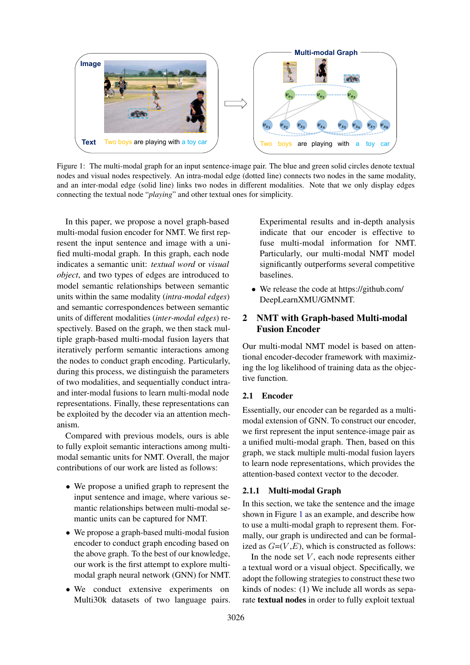<span id="page-1-0"></span>

Figure 1: The multi-modal graph for an input sentence-image pair. The blue and green solid circles denote textual nodes and visual nodes respectively. An intra-modal edge (dotted line) connects two nodes in the same modality, and an inter-modal edge (solid line) links two nodes in different modalities. Note that we only display edges connecting the textual node "*playing*" and other textual ones for simplicity.

In this paper, we propose a novel graph-based multi-modal fusion encoder for NMT. We first represent the input sentence and image with a unified multi-modal graph. In this graph, each node indicates a semantic unit: *textual word* or *visual object*, and two types of edges are introduced to model semantic relationships between semantic units within the same modality (*intra-modal edges*) and semantic correspondences between semantic units of different modalities (*inter-modal edges*) respectively. Based on the graph, we then stack multiple graph-based multi-modal fusion layers that iteratively perform semantic interactions among the nodes to conduct graph encoding. Particularly, during this process, we distinguish the parameters of two modalities, and sequentially conduct intraand inter-modal fusions to learn multi-modal node representations. Finally, these representations can be exploited by the decoder via an attention mechanism.

Compared with previous models, ours is able to fully exploit semantic interactions among multimodal semantic units for NMT. Overall, the major contributions of our work are listed as follows:

- We propose a unified graph to represent the input sentence and image, where various semantic relationships between multi-modal semantic units can be captured for NMT.
- We propose a graph-based multi-modal fusion encoder to conduct graph encoding based on the above graph. To the best of our knowledge, our work is the first attempt to explore multimodal graph neural network (GNN) for NMT.
- We conduct extensive experiments on Multi30k datasets of two language pairs.

Experimental results and in-depth analysis indicate that our encoder is effective to fuse multi-modal information for NMT. Particularly, our multi-modal NMT model significantly outperforms several competitive baselines.

• We release the code at https://github.com/ DeepLearnXMU/GMNMT.

# 2 NMT with Graph-based Multi-modal Fusion Encoder

Our multi-modal NMT model is based on attentional encoder-decoder framework with maximizing the log likelihood of training data as the objective function.

# 2.1 Encoder

Essentially, our encoder can be regarded as a multimodal extension of GNN. To construct our encoder, we first represent the input sentence-image pair as a unified multi-modal graph. Then, based on this graph, we stack multiple multi-modal fusion layers to learn node representations, which provides the attention-based context vector to the decoder.

# 2.1.1 Multi-modal Graph

In this section, we take the sentence and the image shown in Figure [1](#page-1-0) as an example, and describe how to use a multi-modal graph to represent them. Formally, our graph is undirected and can be formalized as  $G=(V, E)$ , which is constructed as follows:

In the node set  $V$ , each node represents either a textual word or a visual object. Specifically, we adopt the following strategies to construct these two kinds of nodes: (1) We include all words as separate textual nodes in order to fully exploit textual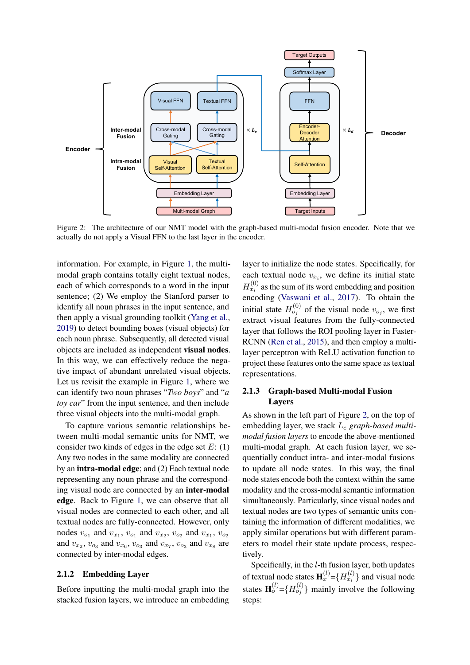<span id="page-2-0"></span>

Figure 2: The architecture of our NMT model with the graph-based multi-modal fusion encoder. Note that we actually do not apply a Visual FFN to the last layer in the encoder.

information. For example, in Figure [1,](#page-1-0) the multimodal graph contains totally eight textual nodes, each of which corresponds to a word in the input sentence; (2) We employ the Stanford parser to identify all noun phrases in the input sentence, and then apply a visual grounding toolkit [\(Yang et al.,](#page-9-4) [2019\)](#page-9-4) to detect bounding boxes (visual objects) for each noun phrase. Subsequently, all detected visual objects are included as independent visual nodes. In this way, we can effectively reduce the negative impact of abundant unrelated visual objects. Let us revisit the example in Figure [1,](#page-1-0) where we can identify two noun phrases "*Two boys*" and "*a toy car*" from the input sentence, and then include three visual objects into the multi-modal graph.

To capture various semantic relationships between multi-modal semantic units for NMT, we consider two kinds of edges in the edge set  $E: (1)$ Any two nodes in the same modality are connected by an intra-modal edge; and (2) Each textual node representing any noun phrase and the corresponding visual node are connected by an inter-modal edge. Back to Figure [1,](#page-1-0) we can observe that all visual nodes are connected to each other, and all textual nodes are fully-connected. However, only nodes  $v_{o_1}$  and  $v_{x_1}$ ,  $v_{o_1}$  and  $v_{x_2}$ ,  $v_{o_2}$  and  $v_{x_1}$ ,  $v_{o_2}$ and  $v_{x_2}$ ,  $v_{o_3}$  and  $v_{x_6}$ ,  $v_{o_3}$  and  $v_{x_7}$ ,  $v_{o_3}$  and  $v_{x_8}$  are connected by inter-modal edges.

### 2.1.2 Embedding Layer

Before inputting the multi-modal graph into the stacked fusion layers, we introduce an embedding layer to initialize the node states. Specifically, for each textual node  $v_{x_i}$ , we define its initial state  $H_{x_i}^{(0)}$  as the sum of its word embedding and position encoding [\(Vaswani et al.,](#page-9-5) [2017\)](#page-9-5). To obtain the initial state  $H_{oj}^{(0)}$  of the visual node  $v_{oj}$ , we first extract visual features from the fully-connected layer that follows the ROI pooling layer in Faster-RCNN [\(Ren et al.,](#page-9-6) [2015\)](#page-9-6), and then employ a multilayer perceptron with ReLU activation function to project these features onto the same space as textual representations.

### 2.1.3 Graph-based Multi-modal Fusion Layers

As shown in the left part of Figure [2,](#page-2-0) on the top of embedding layer, we stack L<sup>e</sup> *graph-based multimodal fusion layers* to encode the above-mentioned multi-modal graph. At each fusion layer, we sequentially conduct intra- and inter-modal fusions to update all node states. In this way, the final node states encode both the context within the same modality and the cross-modal semantic information simultaneously. Particularly, since visual nodes and textual nodes are two types of semantic units containing the information of different modalities, we apply similar operations but with different parameters to model their state update process, respectively.

Specifically, in the l-th fusion layer, both updates of textual node states  $\mathbf{H}_x^{(l)} = \{H_{x_i}^{(l)}\}\$ and visual node states  $\mathbf{H}_o^{(l)} = \{H_{o_j}^{(l)}\}\$  mainly involve the following steps: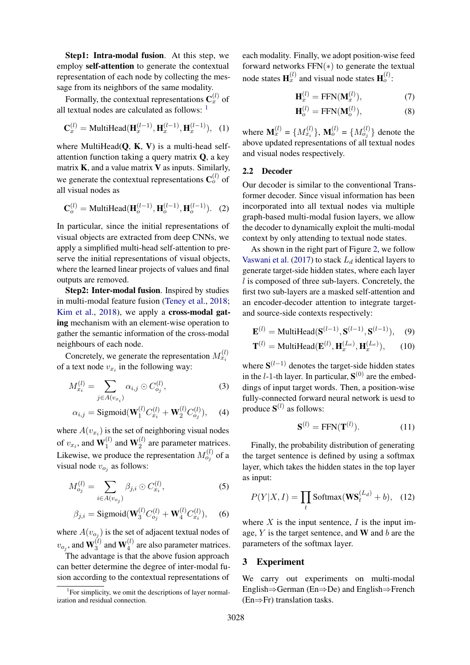Step1: Intra-modal fusion. At this step, we employ self-attention to generate the contextual representation of each node by collecting the message from its neighbors of the same modality.

Formally, the contextual representations  $\mathbf{C}_x^{(l)}$  of all textual nodes are calculated as follows:  $1$ 

$$
\mathbf{C}_x^{(l)} = \text{MultiHead}(\mathbf{H}_x^{(l-1)}, \mathbf{H}_x^{(l-1)}, \mathbf{H}_x^{(l-1)}), \tag{1}
$$

where MultiHead $(Q, K, V)$  is a multi-head selfattention function taking a query matrix  $Q$ , a key matrix  $K$ , and a value matrix  $V$  as inputs. Similarly, we generate the contextual representations  $\mathbf{C}_o^{(l)}$  of all visual nodes as

$$
\mathbf{C}_o^{(l)} = \text{MultiHead}(\mathbf{H}_o^{(l-1)}, \mathbf{H}_o^{(l-1)}, \mathbf{H}_o^{(l-1)}).
$$
 (2)

In particular, since the initial representations of visual objects are extracted from deep CNNs, we apply a simplified multi-head self-attention to preserve the initial representations of visual objects, where the learned linear projects of values and final outputs are removed.

Step2: Inter-modal fusion. Inspired by studies in multi-modal feature fusion [\(Teney et al.,](#page-9-7) [2018;](#page-9-7) [Kim et al.,](#page-9-8) [2018\)](#page-9-8), we apply a **cross-modal gat**ing mechanism with an element-wise operation to gather the semantic information of the cross-modal neighbours of each node.

Concretely, we generate the representation  $M_{x_i}^{(l)}$ of a text node  $v_{x_i}$  in the following way:

$$
M_{x_i}^{(l)} = \sum_{j \in A(v_{x_i})} \alpha_{i,j} \odot C_{o_j}^{(l)},
$$
 (3)

$$
\alpha_{i,j} = \text{Sigmoid}(\mathbf{W}_1^{(l)} C_{x_i}^{(l)} + \mathbf{W}_2^{(l)} C_{o_j}^{(l)}), \quad (4)
$$

where  $A(v_{x_i})$  is the set of neighboring visual nodes of  $v_{x_i}$ , and  $\mathbf{W}_1^{(l)}$  $_{1}^{(l)}$  and  $\mathbf{W}_{2}^{(l)}$  $2^{(i)}$  are parameter matrices. Likewise, we produce the representation  $M_{oj}^{(l)}$  of a visual node  $v_{o_j}$  as follows:

$$
M_{o_j}^{(l)} = \sum_{i \in A(v_{o_j})} \beta_{j,i} \odot C_{x_i}^{(l)},\tag{5}
$$

$$
\beta_{j,i} = \text{Sigmoid}(\mathbf{W}_3^{(l)} C_{o_j}^{(l)} + \mathbf{W}_4^{(l)} C_{x_i}^{(l)}), \quad (6)
$$

where  $A(v_{o_j})$  is the set of adjacent textual nodes of  $v_{o_j}$ , and  $\mathbf{W}_3^{(l)}$  $_3^{(l)}$  and  $\mathbf{W}_4^{(l)}$  $\binom{1}{4}$  are also parameter matrices.

The advantage is that the above fusion approach can better determine the degree of inter-modal fusion according to the contextual representations of each modality. Finally, we adopt position-wise feed forward networks FFN(∗) to generate the textual node states  $\mathbf{H}_x^{(l)}$  and visual node states  $\mathbf{H}_o^{(l)}$ :

$$
\mathbf{H}_x^{(l)} = \text{FFN}(\mathbf{M}_x^{(l)}),\tag{7}
$$

$$
\mathbf{H}_o^{(l)} = \text{FFN}(\mathbf{M}_o^{(l)}),\tag{8}
$$

where  $\mathbf{M}_x^{(l)} = \{M_{x_i}^{(l)}\}, \mathbf{M}_o^{(l)} = \{M_{o_j}^{(l)}\}$  denote the above updated representations of all textual nodes and visual nodes respectively.

## 2.2 Decoder

Our decoder is similar to the conventional Transformer decoder. Since visual information has been incorporated into all textual nodes via multiple graph-based multi-modal fusion layers, we allow the decoder to dynamically exploit the multi-modal context by only attending to textual node states.

As shown in the right part of Figure [2,](#page-2-0) we follow [Vaswani et al.](#page-9-5) [\(2017\)](#page-9-5) to stack  $L_d$  identical layers to generate target-side hidden states, where each layer l is composed of three sub-layers. Concretely, the first two sub-layers are a masked self-attention and an encoder-decoder attention to integrate targetand source-side contexts respectively:

$$
\mathbf{E}^{(l)} = \text{MultiHead}(\mathbf{S}^{(l-1)}, \mathbf{S}^{(l-1)}, \mathbf{S}^{(l-1)}), \quad (9)
$$

$$
\mathbf{T}^{(l)} = \text{MultiHead}(\mathbf{E}^{(l)}, \mathbf{H}_x^{(L_e)}, \mathbf{H}_x^{(L_e)}), \quad (10)
$$

where  $S^{(l-1)}$  denotes the target-side hidden states in the *l*-1-th layer. In particular,  $S^{(0)}$  are the embeddings of input target words. Then, a position-wise fully-connected forward neural network is uesd to produce  $S^{(l)}$  as follows:

$$
\mathbf{S}^{(l)} = \text{FFN}(\mathbf{T}^{(l)}). \tag{11}
$$

Finally, the probability distribution of generating the target sentence is defined by using a softmax layer, which takes the hidden states in the top layer as input:

$$
P(Y|X, I) = \prod_{t} \text{Softmax}(\mathbf{WS}_t^{(L_d)} + b), \quad (12)
$$

where  $X$  is the input sentence,  $I$  is the input image,  $Y$  is the target sentence, and W and  $b$  are the parameters of the softmax layer.

#### 3 Experiment

We carry out experiments on multi-modal English⇒German (En⇒De) and English⇒French (En⇒Fr) translation tasks.

<span id="page-3-0"></span><sup>&</sup>lt;sup>1</sup>For simplicity, we omit the descriptions of layer normalization and residual connection.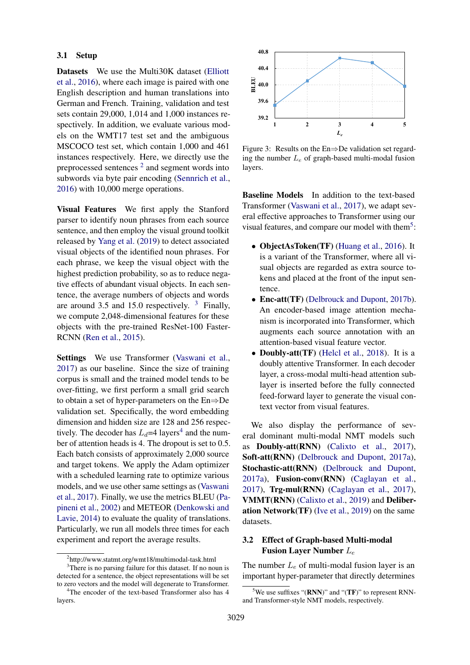### 3.1 Setup

Datasets We use the Multi30K dataset [\(Elliott](#page-9-9) [et al.,](#page-9-9) [2016\)](#page-9-9), where each image is paired with one English description and human translations into German and French. Training, validation and test sets contain 29,000, 1,014 and 1,000 instances respectively. In addition, we evaluate various models on the WMT17 test set and the ambiguous MSCOCO test set, which contain 1,000 and 461 instances respectively. Here, we directly use the preprocessed sentences  $2$  and segment words into subwords via byte pair encoding [\(Sennrich et al.,](#page-9-10) [2016\)](#page-9-10) with 10,000 merge operations.

Visual Features We first apply the Stanford parser to identify noun phrases from each source sentence, and then employ the visual ground toolkit released by [Yang et al.](#page-9-4) [\(2019\)](#page-9-4) to detect associated visual objects of the identified noun phrases. For each phrase, we keep the visual object with the highest prediction probability, so as to reduce negative effects of abundant visual objects. In each sentence, the average numbers of objects and words are around [3](#page-4-1).5 and 15.0 respectively.  $3$  Finally, we compute 2,048-dimensional features for these objects with the pre-trained ResNet-100 Faster-RCNN [\(Ren et al.,](#page-9-6) [2015\)](#page-9-6).

Settings We use Transformer [\(Vaswani et al.,](#page-9-5) [2017\)](#page-9-5) as our baseline. Since the size of training corpus is small and the trained model tends to be over-fitting, we first perform a small grid search to obtain a set of hyper-parameters on the En⇒De validation set. Specifically, the word embedding dimension and hidden size are 128 and 256 respectively. The decoder has  $L_d=4$  $L_d=4$  layers<sup>4</sup> and the number of attention heads is 4. The dropout is set to 0.5. Each batch consists of approximately 2,000 source and target tokens. We apply the Adam optimizer with a scheduled learning rate to optimize various models, and we use other same settings as [\(Vaswani](#page-9-5) [et al.,](#page-9-5) [2017\)](#page-9-5). Finally, we use the metrics BLEU [\(Pa](#page-9-11)[pineni et al.,](#page-9-11) [2002\)](#page-9-11) and METEOR [\(Denkowski and](#page-8-4) [Lavie,](#page-8-4) [2014\)](#page-8-4) to evaluate the quality of translations. Particularly, we run all models three times for each experiment and report the average results.

<span id="page-4-4"></span>

Figure 3: Results on the En⇒De validation set regarding the number  $L_e$  of graph-based multi-modal fusion layers.

Baseline Models In addition to the text-based Transformer [\(Vaswani et al.,](#page-9-5) [2017\)](#page-9-5), we adapt several effective approaches to Transformer using our visual features, and compare our model with them<sup>[5](#page-4-3)</sup>:

- ObjectAsToken(TF) [\(Huang et al.,](#page-9-0) [2016\)](#page-9-0). It is a variant of the Transformer, where all visual objects are regarded as extra source tokens and placed at the front of the input sentence.
- Enc-att(TF) [\(Delbrouck and Dupont,](#page-8-3) [2017b\)](#page-8-3). An encoder-based image attention mechanism is incorporated into Transformer, which augments each source annotation with an attention-based visual feature vector.
- Doubly-att(TF) [\(Helcl et al.,](#page-9-12) [2018\)](#page-9-12). It is a doubly attentive Transformer. In each decoder layer, a cross-modal multi-head attention sublayer is inserted before the fully connected feed-forward layer to generate the visual context vector from visual features.

We also display the performance of several dominant multi-modal NMT models such as Doubly-att(RNN) [\(Calixto et al.,](#page-8-0) [2017\)](#page-8-0), Soft-att(RNN) [\(Delbrouck and Dupont,](#page-8-2) [2017a\)](#page-8-2), Stochastic-att(RNN) [\(Delbrouck and Dupont,](#page-8-2) [2017a\)](#page-8-2), Fusion-conv(RNN) [\(Caglayan et al.,](#page-8-5) [2017\)](#page-8-5), Trg-mul(RNN) [\(Caglayan et al.,](#page-8-5) [2017\)](#page-8-5), VMMT(RNN) [\(Calixto et al.,](#page-8-1) [2019\)](#page-8-1) and Deliberation Network(TF) [\(Ive et al.,](#page-9-1) [2019\)](#page-9-1) on the same datasets.

# 3.2 Effect of Graph-based Multi-modal Fusion Layer Number L<sup>e</sup>

The number  $L_e$  of multi-modal fusion layer is an important hyper-parameter that directly determines

<span id="page-4-1"></span><span id="page-4-0"></span><sup>2</sup> http://www.statmt.org/wmt18/multimodal-task.html <sup>3</sup>There is no parsing failure for this dataset. If no noun is detected for a sentence, the object representations will be set to zero vectors and the model will degenerate to Transformer.

<span id="page-4-2"></span><sup>4</sup>The encoder of the text-based Transformer also has 4 layers.

<span id="page-4-3"></span><sup>&</sup>lt;sup>5</sup>We use suffixes "(**RNN**)" and "(**TF**)" to represent RNNand Transformer-style NMT models, respectively.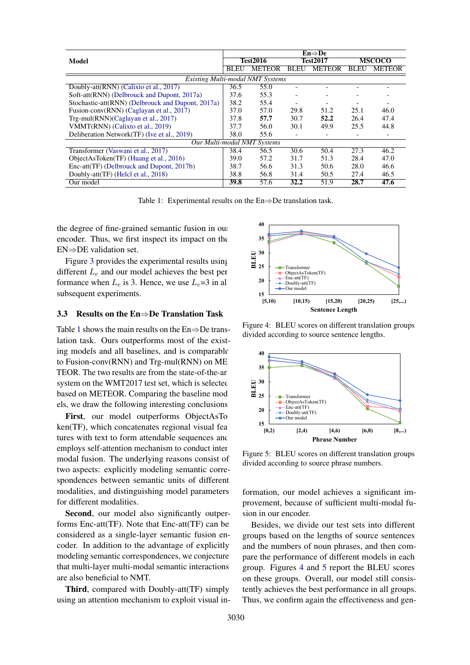<span id="page-5-0"></span>

|                                                   | $En \Rightarrow De$ |                 |             |                 |      |               |  |
|---------------------------------------------------|---------------------|-----------------|-------------|-----------------|------|---------------|--|
| Model                                             |                     | <b>Test2016</b> |             | <b>Test2017</b> |      | <b>MSCOCO</b> |  |
|                                                   | <b>BLEU</b>         | <b>METEOR</b>   | <b>BLEU</b> | <b>METEOR</b>   | BLEU | <b>METEOR</b> |  |
| <b>Existing Multi-modal NMT Systems</b>           |                     |                 |             |                 |      |               |  |
| Doubly-att(RNN) (Calixto et al., 2017)            | 36.5                | 55.0            |             |                 |      |               |  |
| Soft-att(RNN) (Delbrouck and Dupont, 2017a)       | 37.6                | 55.3            |             |                 |      |               |  |
| Stochastic-att(RNN) (Delbrouck and Dupont, 2017a) | 38.2                | 55.4            |             |                 |      |               |  |
| Fusion-conv(RNN) (Caglayan et al., 2017)          | 37.0                | 57.0            | 29.8        | 51.2            | 25.1 | 46.0          |  |
| Trg-mul(RNN)(Caglayan et al., 2017)               | 37.8                | 57.7            | 30.7        | 52.2            | 26.4 | 47.4          |  |
| VMMT(RNN) (Calixto et al., 2019)                  | 37.7                | 56.0            | 30.1        | 49.9            | 25.5 | 44.8          |  |
| Deliberation Network(TF) (Ive et al., 2019)       | 38.0                | 55.6            |             |                 |      |               |  |
| <b>Our Multi-modal NMT Systems</b>                |                     |                 |             |                 |      |               |  |
| Transformer (Vaswani et al., 2017)                | 38.4                | 56.5            | 30.6        | 50.4            | 27.3 | 46.2          |  |
| ObjectAsToken(TF) (Huang et al., 2016)            | 39.0                | 57.2            | 31.7        | 51.3            | 28.4 | 47.0          |  |
| Enc-att(TF) (Delbrouck and Dupont, 2017b)         | 38.7                | 56.6            | 31.3        | 50.6            | 28.0 | 46.6          |  |
| Doubly-att(TF) (Helcl et al., 2018)               | 38.8                | 56.8            | 31.4        | 50.5            | 27.4 | 46.5          |  |
| Our model                                         | 39.8                | 57.6            | 32.2        | 51.9            | 28.7 | 47.6          |  |

Table 1: Experimental results on the En⇒De translation task.

the degree of fine-grained semantic fusion in our encoder. Thus, we first inspect its impact on the EN⇒DE validation set.

Figure [3](#page-4-4) provides the experimental results using different  $L_e$  and our model achieves the best performance when  $L_e$  is 3. Hence, we use  $L_e$ =3 in all subsequent experiments.

#### 3.3 Results on the En⇒De Translation Task

Table [1](#page-5-0) shows the main results on the  $En \Rightarrow De$  translation task. Ours outperforms most of the existing models and all baselines, and is comparable to Fusion-conv(RNN) and Trg-mul(RNN) on ME-TEOR. The two results are from the state-of-the-art system on the WMT2017 test set, which is selected based on METEOR. Comparing the baseline models, we draw the following interesting conclusions:

First, our model outperforms ObjectAsTo ken(TF), which concatenates regional visual features with text to form attendable sequences and employs self-attention mechanism to conduct intermodal fusion. The underlying reasons consist of two aspects: explicitly modeling semantic correspondences between semantic units of different modalities, and distinguishing model parameters for different modalities.

Second, our model also significantly outperforms Enc-att(TF). Note that Enc-att(TF) can be considered as a single-layer semantic fusion encoder. In addition to the advantage of explicitly modeling semantic correspondences, we conjecture that multi-layer multi-modal semantic interactions are also beneficial to NMT.

Third, compared with Doubly-att(TF) simply using an attention mechanism to exploit visual in-

<span id="page-5-1"></span>

Figure 4: BLEU scores on different translation groups divided according to source sentence lengths.

<span id="page-5-2"></span>

Figure 5: BLEU scores on different translation groups divided according to source phrase numbers.

formation, our model achieves a significant improvement, because of sufficient multi-modal fusion in our encoder.

Besides, we divide our test sets into different groups based on the lengths of source sentences and the numbers of noun phrases, and then compare the performance of different models in each group. Figures [4](#page-5-1) and [5](#page-5-2) report the BLEU scores on these groups. Overall, our model still consistently achieves the best performance in all groups. Thus, we confirm again the effectiveness and gen-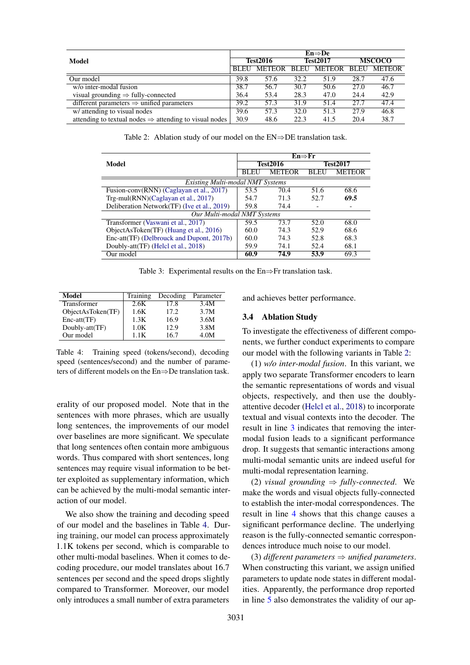<span id="page-6-1"></span>

|                                                                    | $En \Rightarrow De$ |        |          |                  |               |               |
|--------------------------------------------------------------------|---------------------|--------|----------|------------------|---------------|---------------|
| Model                                                              | Test2016            |        | Test2017 |                  | <b>MSCOCO</b> |               |
|                                                                    | BLEU                | METEOR |          | BLEU METEOR BLEU |               | <b>METEOR</b> |
| Our model                                                          | 39.8                | 57.6   | 32.2     | 51.9             | 28.7          | 47.6          |
| w/o inter-modal fusion                                             | 38.7                | 56.7   | 30.7     | 50.6             | 27.0          | 46.7          |
| visual grounding $\Rightarrow$ fully-connected                     | 36.4                | 53.4   | 28.3     | 47.0             | 24.4          | 42.9          |
| different parameters $\Rightarrow$ unified parameters              | 39.2                | 57.3   | 31.9     | 51.4             | 27.7          | 47.4          |
| w/ attending to visual nodes                                       | 39.6                | 57.3   | 32.0     | 51.3             | 27.9          | 46.8          |
| attending to textual nodes $\Rightarrow$ attending to visual nodes | 30.9                | 48.6   | 22.3     | 41.5             | 20.4          | 38.7          |

Table 2: Ablation study of our model on the  $EN \Rightarrow DE$  translation task.

<span id="page-6-2"></span>

|                                             | En⇒Fr |                 |                 |               |  |  |
|---------------------------------------------|-------|-----------------|-----------------|---------------|--|--|
| Model                                       |       | <b>Test2016</b> | <b>Test2017</b> |               |  |  |
|                                             | BLEU  | <b>METEOR</b>   | BLEU            | <b>METEOR</b> |  |  |
| Existing Multi-modal NMT Systems            |       |                 |                 |               |  |  |
| Fusion-conv(RNN) (Caglayan et al., 2017)    | 53.5  | 70.4            | 51.6            | 68.6          |  |  |
| Trg-mul(RNN)(Caglayan et al., 2017)         | 54.7  | 71.3            | 52.7            | 69.5          |  |  |
| Deliberation Network(TF) (Ive et al., 2019) | 59.8  | 74.4            | -               | -             |  |  |
| Our Multi-modal NMT Systems                 |       |                 |                 |               |  |  |
| Transformer (Vaswani et al., 2017)          | 59.5  | 73.7            | 52.0            | 68.0          |  |  |
| ObjectAsToken(TF) (Huang et al., 2016)      | 60.0  | 74.3            | 52.9            | 68.6          |  |  |
| Enc-att(TF) (Delbrouck and Dupont, 2017b)   | 60.0  | 74.3            | 52.8            | 68.3          |  |  |
| Doubly-att(TF) (Helcl et al., 2018)         | 59.9  | 74.1            | 52.4            | 68.1          |  |  |
| Our model                                   | 60.9  | 74.9            | 53.9            | 69.3          |  |  |

Table 3: Experimental results on the En⇒Fr translation task.

<span id="page-6-0"></span>

| Model             | Training | Decoding | Parameter |
|-------------------|----------|----------|-----------|
| Transformer       | 2.6K     | 17.8     | 3.4M      |
| ObjectAsToken(TF) | 1.6K     | 17.2     | 3.7M      |
| $Enc-att(TF)$     | 1.3K     | 16.9     | 3.6M      |
| Doubly-att(TF)    | 1.0K     | 12.9     | 3.8M      |
| Our model         | 1 1 K    | 16.7     | 4.0M      |

Table 4: Training speed (tokens/second), decoding speed (sentences/second) and the number of parameters of different models on the En⇒De translation task.

erality of our proposed model. Note that in the sentences with more phrases, which are usually long sentences, the improvements of our model over baselines are more significant. We speculate that long sentences often contain more ambiguous words. Thus compared with short sentences, long sentences may require visual information to be better exploited as supplementary information, which can be achieved by the multi-modal semantic interaction of our model.

We also show the training and decoding speed of our model and the baselines in Table [4.](#page-6-0) During training, our model can process approximately 1.1K tokens per second, which is comparable to other multi-modal baselines. When it comes to decoding procedure, our model translates about 16.7 sentences per second and the speed drops slightly compared to Transformer. Moreover, our model only introduces a small number of extra parameters

and achieves better performance.

### 3.4 Ablation Study

To investigate the effectiveness of different components, we further conduct experiments to compare our model with the following variants in Table [2:](#page-6-1)

(1) *w/o inter-modal fusion*. In this variant, we apply two separate Transformer encoders to learn the semantic representations of words and visual objects, respectively, and then use the doublyattentive decoder [\(Helcl et al.,](#page-9-12) [2018\)](#page-9-12) to incorporate textual and visual contexts into the decoder. The result in line 3 indicates that removing the intermodal fusion leads to a significant performance drop. It suggests that semantic interactions among multi-modal semantic units are indeed useful for multi-modal representation learning.

(2) *visual grounding*  $\Rightarrow$  *fully-connected.* We make the words and visual objects fully-connected to establish the inter-modal correspondences. The result in line 4 shows that this change causes a significant performance decline. The underlying reason is the fully-connected semantic correspondences introduce much noise to our model.

(3) *different parameters*  $\Rightarrow$  *unified parameters.* When constructing this variant, we assign unified parameters to update node states in different modalities. Apparently, the performance drop reported in line 5 also demonstrates the validity of our ap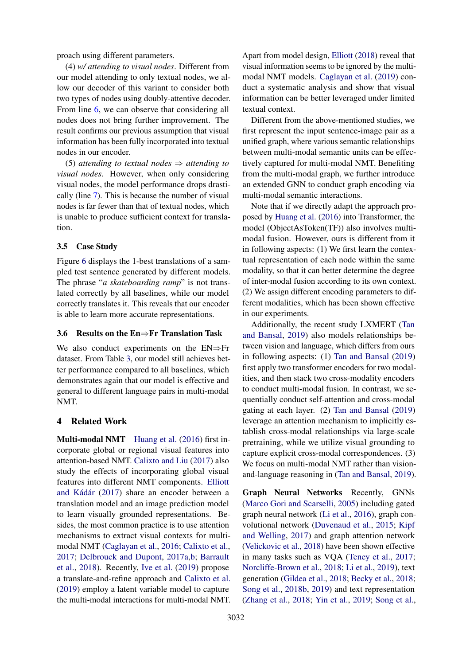proach using different parameters.

(4) *w/ attending to visual nodes*. Different from our model attending to only textual nodes, we allow our decoder of this variant to consider both two types of nodes using doubly-attentive decoder. From line 6, we can observe that considering all nodes does not bring further improvement. The result confirms our previous assumption that visual information has been fully incorporated into textual nodes in our encoder.

(5) *attending to textual nodes* ⇒ *attending to visual nodes*. However, when only considering visual nodes, the model performance drops drastically (line 7). This is because the number of visual nodes is far fewer than that of textual nodes, which is unable to produce sufficient context for translation.

## 3.5 Case Study

Figure [6](#page-8-6) displays the 1-best translations of a sampled test sentence generated by different models. The phrase "*a skateboarding ramp*" is not translated correctly by all baselines, while our model correctly translates it. This reveals that our encoder is able to learn more accurate representations.

### 3.6 Results on the En⇒Fr Translation Task

We also conduct experiments on the EN⇒Fr dataset. From Table [3,](#page-6-2) our model still achieves better performance compared to all baselines, which demonstrates again that our model is effective and general to different language pairs in multi-modal NMT.

## 4 Related Work

Multi-modal NMT [Huang et al.](#page-9-0) [\(2016\)](#page-9-0) first incorporate global or regional visual features into attention-based NMT. [Calixto and Liu](#page-8-7) [\(2017\)](#page-8-7) also study the effects of incorporating global visual features into different NMT components. [Elliott](#page-9-13) and Kádár [\(2017\)](#page-9-13) share an encoder between a translation model and an image prediction model to learn visually grounded representations. Besides, the most common practice is to use attention mechanisms to extract visual contexts for multimodal NMT [\(Caglayan et al.,](#page-8-8) [2016;](#page-8-8) [Calixto et al.,](#page-8-0) [2017;](#page-8-0) [Delbrouck and Dupont,](#page-8-2) [2017a](#page-8-2)[,b;](#page-8-3) [Barrault](#page-8-9) [et al.,](#page-8-9) [2018\)](#page-8-9). Recently, [Ive et al.](#page-9-1) [\(2019\)](#page-9-1) propose a translate-and-refine approach and [Calixto et al.](#page-8-1) [\(2019\)](#page-8-1) employ a latent variable model to capture the multi-modal interactions for multi-modal NMT. Apart from model design, [Elliott](#page-9-14) [\(2018\)](#page-9-14) reveal that visual information seems to be ignored by the multimodal NMT models. [Caglayan et al.](#page-8-10) [\(2019\)](#page-8-10) conduct a systematic analysis and show that visual information can be better leveraged under limited textual context.

Different from the above-mentioned studies, we first represent the input sentence-image pair as a unified graph, where various semantic relationships between multi-modal semantic units can be effectively captured for multi-modal NMT. Benefiting from the multi-modal graph, we further introduce an extended GNN to conduct graph encoding via multi-modal semantic interactions.

Note that if we directly adapt the approach proposed by [Huang et al.](#page-9-0) [\(2016\)](#page-9-0) into Transformer, the model (ObjectAsToken(TF)) also involves multimodal fusion. However, ours is different from it in following aspects: (1) We first learn the contextual representation of each node within the same modality, so that it can better determine the degree of inter-modal fusion according to its own context. (2) We assign different encoding parameters to different modalities, which has been shown effective in our experiments.

Additionally, the recent study LXMERT [\(Tan](#page-9-3) [and Bansal,](#page-9-3) [2019\)](#page-9-3) also models relationships between vision and language, which differs from ours in following aspects: (1) [Tan and Bansal](#page-9-3) [\(2019\)](#page-9-3) first apply two transformer encoders for two modalities, and then stack two cross-modality encoders to conduct multi-modal fusion. In contrast, we sequentially conduct self-attention and cross-modal gating at each layer. (2) [Tan and Bansal](#page-9-3) [\(2019\)](#page-9-3) leverage an attention mechanism to implicitly establish cross-modal relationships via large-scale pretraining, while we utilize visual grounding to capture explicit cross-modal correspondences. (3) We focus on multi-modal NMT rather than visionand-language reasoning in [\(Tan and Bansal,](#page-9-3) [2019\)](#page-9-3).

Graph Neural Networks Recently, GNNs [\(Marco Gori and Scarselli,](#page-9-15) [2005\)](#page-9-15) including gated graph neural network [\(Li et al.,](#page-9-16) [2016\)](#page-9-16), graph convolutional network [\(Duvenaud et al.,](#page-8-11) [2015;](#page-8-11) [Kipf](#page-9-17) [and Welling,](#page-9-17) [2017\)](#page-9-17) and graph attention network [\(Velickovic et al.,](#page-9-18) [2018\)](#page-9-18) have been shown effective in many tasks such as VQA [\(Teney et al.,](#page-9-19) [2017;](#page-9-19) [Norcliffe-Brown et al.,](#page-9-20) [2018;](#page-9-20) [Li et al.,](#page-9-21) [2019\)](#page-9-21), text generation [\(Gildea et al.,](#page-9-22) [2018;](#page-9-22) [Becky et al.,](#page-8-12) [2018;](#page-8-12) [Song et al.,](#page-9-23) [2018b,](#page-9-23) [2019\)](#page-9-24) and text representation [\(Zhang et al.,](#page-10-1) [2018;](#page-10-1) [Yin et al.,](#page-10-2) [2019;](#page-10-2) [Song et al.,](#page-9-25)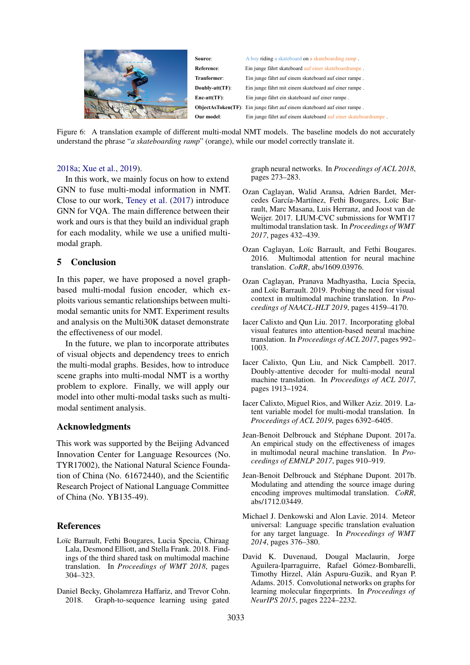<span id="page-8-6"></span>

Figure 6: A translation example of different multi-modal NMT models. The baseline models do not accurately understand the phrase "*a skateboarding ramp*" (orange), while our model correctly translate it.

### [2018a;](#page-9-25) [Xue et al.,](#page-9-26) [2019\)](#page-9-26).

In this work, we mainly focus on how to extend GNN to fuse multi-modal information in NMT. Close to our work, [Teney et al.](#page-9-19) [\(2017\)](#page-9-19) introduce GNN for VQA. The main difference between their work and ours is that they build an individual graph for each modality, while we use a unified multimodal graph.

### 5 Conclusion

In this paper, we have proposed a novel graphbased multi-modal fusion encoder, which exploits various semantic relationships between multimodal semantic units for NMT. Experiment results and analysis on the Multi30K dataset demonstrate the effectiveness of our model.

In the future, we plan to incorporate attributes of visual objects and dependency trees to enrich the multi-modal graphs. Besides, how to introduce scene graphs into multi-modal NMT is a worthy problem to explore. Finally, we will apply our model into other multi-modal tasks such as multimodal sentiment analysis.

#### Acknowledgments

This work was supported by the Beijing Advanced Innovation Center for Language Resources (No. TYR17002), the National Natural Science Foundation of China (No. 61672440), and the Scientific Research Project of National Language Committee of China (No. YB135-49).

### References

- <span id="page-8-9"></span>Loïc Barrault, Fethi Bougares, Lucia Specia, Chiraag Lala, Desmond Elliott, and Stella Frank. 2018. Findings of the third shared task on multimodal machine translation. In *Proceedings of WMT 2018*, pages 304–323.
- <span id="page-8-12"></span>Daniel Becky, Gholamreza Haffariz, and Trevor Cohn. 2018. Graph-to-sequence learning using gated

graph neural networks. In *Proceedings of ACL 2018*, pages 273–283.

- <span id="page-8-5"></span>Ozan Caglayan, Walid Aransa, Adrien Bardet, Mercedes García-Martínez, Fethi Bougares, Loïc Barrault, Marc Masana, Luis Herranz, and Joost van de Weijer. 2017. LIUM-CVC submissions for WMT17 multimodal translation task. In *Proceedings of WMT 2017*, pages 432–439.
- <span id="page-8-8"></span>Ozan Caglayan, Loïc Barrault, and Fethi Bougares. 2016. Multimodal attention for neural machine translation. *CoRR*, abs/1609.03976.
- <span id="page-8-10"></span>Ozan Caglayan, Pranava Madhyastha, Lucia Specia, and Loïc Barrault. 2019. Probing the need for visual context in multimodal machine translation. In *Proceedings of NAACL-HLT 2019*, pages 4159–4170.
- <span id="page-8-7"></span>Iacer Calixto and Qun Liu. 2017. Incorporating global visual features into attention-based neural machine translation. In *Proceedings of ACL 2017*, pages 992– 1003.
- <span id="page-8-0"></span>Iacer Calixto, Qun Liu, and Nick Campbell. 2017. Doubly-attentive decoder for multi-modal neural machine translation. In *Proceedings of ACL 2017*, pages 1913–1924.
- <span id="page-8-1"></span>Iacer Calixto, Miguel Rios, and Wilker Aziz. 2019. Latent variable model for multi-modal translation. In *Proceedings of ACL 2019*, pages 6392–6405.
- <span id="page-8-2"></span>Jean-Benoit Delbrouck and Stéphane Dupont. 2017a. An empirical study on the effectiveness of images in multimodal neural machine translation. In *Proceedings of EMNLP 2017*, pages 910–919.
- <span id="page-8-3"></span>Jean-Benoit Delbrouck and Stéphane Dupont. 2017b. Modulating and attending the source image during encoding improves multimodal translation. *CoRR*, abs/1712.03449.
- <span id="page-8-4"></span>Michael J. Denkowski and Alon Lavie. 2014. Meteor universal: Language specific translation evaluation for any target language. In *Proceedings of WMT 2014*, pages 376–380.
- <span id="page-8-11"></span>David K. Duvenaud, Dougal Maclaurin, Jorge Aguilera-Iparraguirre, Rafael Gómez-Bombarelli, Timothy Hirzel, Alán Aspuru-Guzik, and Ryan P. Adams. 2015. Convolutional networks on graphs for learning molecular fingerprints. In *Proceedings of NeurIPS 2015*, pages 2224–2232.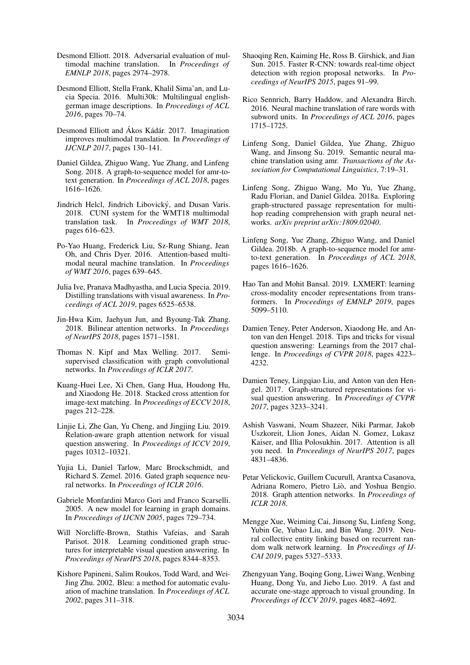- <span id="page-9-14"></span>Desmond Elliott. 2018. Adversarial evaluation of multimodal machine translation. In *Proceedings of EMNLP 2018*, pages 2974–2978.
- <span id="page-9-9"></span>Desmond Elliott, Stella Frank, Khalil Sima'an, and Lucia Specia. 2016. Multi30k: Multilingual englishgerman image descriptions. In *Proceedings of ACL 2016*, pages 70–74.
- <span id="page-9-13"></span>Desmond Elliott and Ákos Kádár, 2017. Imagination improves multimodal translation. In *Proceedings of IJCNLP 2017*, pages 130–141.
- <span id="page-9-22"></span>Daniel Gildea, Zhiguo Wang, Yue Zhang, and Linfeng Song. 2018. A graph-to-sequence model for amr-totext generation. In *Proceedings of ACL 2018*, pages 1616–1626.
- <span id="page-9-12"></span>Jindrich Helcl, Jindrich Libovický, and Dusan Varis. 2018. CUNI system for the WMT18 multimodal translation task. In *Proceedings of WMT 2018*, pages 616–623.
- <span id="page-9-0"></span>Po-Yao Huang, Frederick Liu, Sz-Rung Shiang, Jean Oh, and Chris Dyer. 2016. Attention-based multimodal neural machine translation. In *Proceedings of WMT 2016*, pages 639–645.
- <span id="page-9-1"></span>Julia Ive, Pranava Madhyastha, and Lucia Specia. 2019. Distilling translations with visual awareness. In *Proceedings of ACL 2019*, pages 6525–6538.
- <span id="page-9-8"></span>Jin-Hwa Kim, Jaehyun Jun, and Byoung-Tak Zhang. 2018. Bilinear attention networks. In *Proceedings of NeurIPS 2018*, pages 1571–1581.
- <span id="page-9-17"></span>Thomas N. Kipf and Max Welling. 2017. Semisupervised classification with graph convolutional networks. In *Proceedings of ICLR 2017*.
- <span id="page-9-2"></span>Kuang-Huei Lee, Xi Chen, Gang Hua, Houdong Hu, and Xiaodong He. 2018. Stacked cross attention for image-text matching. In *Proceedings of ECCV 2018*, pages 212–228.
- <span id="page-9-21"></span>Linjie Li, Zhe Gan, Yu Cheng, and Jingjing Liu. 2019. Relation-aware graph attention network for visual question answering. In *Proceedings of ICCV 2019*, pages 10312–10321.
- <span id="page-9-16"></span>Yujia Li, Daniel Tarlow, Marc Brockschmidt, and Richard S. Zemel. 2016. Gated graph sequence neural networks. In *Proceedings of ICLR 2016*.
- <span id="page-9-15"></span>Gabriele Monfardini Marco Gori and Franco Scarselli. 2005. A new model for learning in graph domains. In *Proceedings of IJCNN 2005*, pages 729–734.
- <span id="page-9-20"></span>Will Norcliffe-Brown, Stathis Vafeias, and Sarah Parisot. 2018. Learning conditioned graph structures for interpretable visual question answering. In *Proceedings of NeurIPS 2018*, pages 8344–8353.
- <span id="page-9-11"></span>Kishore Papineni, Salim Roukos, Todd Ward, and Wei-Jing Zhu. 2002. Bleu: a method for automatic evaluation of machine translation. In *Proceedings of ACL 2002*, pages 311–318.
- <span id="page-9-6"></span>Shaoqing Ren, Kaiming He, Ross B. Girshick, and Jian Sun. 2015. Faster R-CNN: towards real-time object detection with region proposal networks. In *Proceedings of NeurIPS 2015*, pages 91–99.
- <span id="page-9-10"></span>Rico Sennrich, Barry Haddow, and Alexandra Birch. 2016. Neural machine translation of rare words with subword units. In *Proceedings of ACL 2016*, pages 1715–1725.
- <span id="page-9-24"></span>Linfeng Song, Daniel Gildea, Yue Zhang, Zhiguo Wang, and Jinsong Su. 2019. Semantic neural machine translation using amr. *Transactions of the Association for Computational Linguistics*, 7:19–31.
- <span id="page-9-25"></span>Linfeng Song, Zhiguo Wang, Mo Yu, Yue Zhang, Radu Florian, and Daniel Gildea. 2018a. Exploring graph-structured passage representation for multihop reading comprehension with graph neural networks. *arXiv preprint arXiv:1809.02040*.
- <span id="page-9-23"></span>Linfeng Song, Yue Zhang, Zhiguo Wang, and Daniel Gildea. 2018b. A graph-to-sequence model for amrto-text generation. In *Proceedings of ACL 2018*, pages 1616–1626.
- <span id="page-9-3"></span>Hao Tan and Mohit Bansal. 2019. LXMERT: learning cross-modality encoder representations from transformers. In *Proceedings of EMNLP 2019*, pages 5099–5110.
- <span id="page-9-7"></span>Damien Teney, Peter Anderson, Xiaodong He, and Anton van den Hengel. 2018. Tips and tricks for visual question answering: Learnings from the 2017 challenge. In *Proceedings of CVPR 2018*, pages 4223– 4232.
- <span id="page-9-19"></span>Damien Teney, Lingqiao Liu, and Anton van den Hengel. 2017. Graph-structured representations for visual question answering. In *Proceedings of CVPR 2017*, pages 3233–3241.
- <span id="page-9-5"></span>Ashish Vaswani, Noam Shazeer, Niki Parmar, Jakob Uszkoreit, Llion Jones, Aidan N. Gomez, Lukasz Kaiser, and Illia Polosukhin. 2017. Attention is all you need. In *Proceedings of NeurIPS 2017*, pages 4831–4836.
- <span id="page-9-18"></span>Petar Velickovic, Guillem Cucurull, Arantxa Casanova, Adriana Romero, Pietro Lio, and Yoshua Bengio. ` 2018. Graph attention networks. In *Proceedings of ICLR 2018*.
- <span id="page-9-26"></span>Mengge Xue, Weiming Cai, Jinsong Su, Linfeng Song, Yubin Ge, Yubao Liu, and Bin Wang. 2019. Neural collective entity linking based on recurrent random walk network learning. In *Proceedings of IJ-CAI 2019*, pages 5327–5333.
- <span id="page-9-4"></span>Zhengyuan Yang, Boqing Gong, Liwei Wang, Wenbing Huang, Dong Yu, and Jiebo Luo. 2019. A fast and accurate one-stage approach to visual grounding. In *Proceedings of ICCV 2019*, pages 4682–4692.